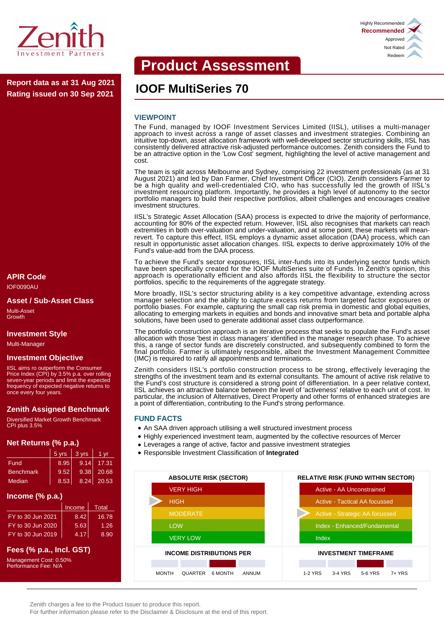

**IOOF MultiSeries 70 Report data as at 31 Aug 2021 Rating issued on 30 Sep 2021**

# **APIR Code**

IOF0090AU

**Asset / Sub-Asset Class** Multi-Asset

Growth

#### **Investment Style**

Multi-Manager

#### **Investment Objective**

IISL aims ro outperform the Consumer Price Index (CPI) by 3.5% p.a. over rolling seven-year periods and limit the expected frequency of expected negative returns to once every four years.

#### **Zenith Assigned Benchmark**

Diversified Market Growth Benchmark CPI plus 3.5%

#### **Net Returns (% p.a.)**

|                  | 5 yrs | 3 yrs | 1 vr       |
|------------------|-------|-------|------------|
| Fund             | 8.95  | 9.14  | 17.31      |
| <b>Benchmark</b> | 9.52  | 9.38  | 20.68      |
| Median           | 8.53  |       | 8.24 20.53 |

#### **Income (% p.a.)**

|                   | Income | Total |
|-------------------|--------|-------|
| FY to 30 Jun 2021 | 8.42   | 16.78 |
| FY to 30 Jun 2020 | 5.63   | 1.26  |
| FY to 30 Jun 2019 | 4.17   | 8.90  |

# **Fees (% p.a., Incl. GST)**

Management Cost: 0.50% Performance Fee: N/A

# **Product Assessment**

#### **VIEWPOINT**

The Fund, managed by IOOF Investment Services Limited (IISL), utilises a multi-manager approach to invest across a range of asset classes and investment strategies. Combining an intuitive top-down, asset allocation framework with well-developed sector structuring skills, IISL has consistently delivered attractive risk-adjusted performance outcomes. Zenith considers the Fund to be an attractive option in the 'Low Cost' segment, highlighting the level of active management and cost.

The team is split across Melbourne and Sydney, comprising 22 investment professionals (as at 31 August 2021) and led by Dan Farmer, Chief Investment Officer (CIO). Zenith considers Farmer to be a high quality and well-credentialed CIO, who has successfully led the growth of IISL's investment resourcing platform. Importantly, he provides a high level of autonomy to the sector portfolio managers to build their respective portfolios, albeit challenges and encourages creative investment structures.

IISL's Strategic Asset Allocation (SAA) process is expected to drive the majority of performance, accounting for 80% of the expected return. However, IISL also recognises that markets can reach extremities in both over-valuation and under-valuation, and at some point, these markets will meanrevert. To capture this effect, IISL employs a dynamic asset allocation (DAA) process, which can result in opportunistic asset allocation changes. IISL expects to derive approximately 10% of the Fund's value-add from the DAA process.

To achieve the Fund's sector exposures, IISL inter-funds into its underlying sector funds which have been specifically created for the IOOF MultiSeries suite of Funds. In Zenith's opinion, this approach is operationally efficient and also affords IISL the flexibility to structure the sector portfolios, specific to the requirements of the aggregate strategy.

More broadly, IISL's sector structuring ability is a key competitive advantage, extending across manager selection and the ability to capture excess returns from targeted factor exposures or portfolio biases. For example, capturing the small cap risk premia in domestic and global equities, allocating to emerging markets in equities and bonds and innovative smart beta and portable alpha solutions, have been used to generate additional asset class outperformance.

The portfolio construction approach is an iterative process that seeks to populate the Fund's asset allocation with those 'best in class managers' identified in the manager research phase. To achieve this, a range of sector funds are discretely constructed, and subsequently combined to form the final portfolio. Farmer is ultimately responsible, albeit the Investment Management Committee (IMC) is required to ratify all appointments and terminations.

Zenith considers IISL's portfolio construction process to be strong, effectively leveraging the strengths of the investment team and its external consultants. The amount of active risk relative to the Fund's cost structure is considered a strong point of differentiation. In a peer relative context, IISL achieves an attractive balance between the level of 'activeness' relative to each unit of cost. In particular, the inclusion of Alternatives, Direct Property and other forms of enhanced strategies are a point of differentiation, contributing to the Fund's strong performance.

#### **FUND FACTS**

- An SAA driven approach utilising a well structured investment process
- Highly experienced investment team, augmented by the collective resources of Mercer
- Leverages a range of active, factor and passive investment strategies
- Responsible Investment Classification of **Integrated**





For further information please refer to the Disclaimer & Disclosure at the end of this report.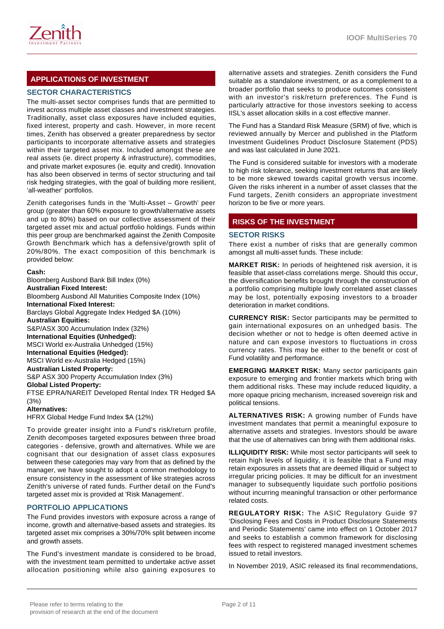

# **APPLICATIONS OF INVESTMENT**

# **SECTOR CHARACTERISTICS**

The multi-asset sector comprises funds that are permitted to invest across multiple asset classes and investment strategies. Traditionally, asset class exposures have included equities, fixed interest, property and cash. However, in more recent times, Zenith has observed a greater preparedness by sector participants to incorporate alternative assets and strategies within their targeted asset mix. Included amongst these are real assets (ie. direct property & infrastructure), commodities, and private market exposures (ie. equity and credit). Innovation has also been observed in terms of sector structuring and tail risk hedging strategies, with the goal of building more resilient, 'all-weather' portfolios.

Zenith categorises funds in the 'Multi-Asset – Growth' peer group (greater than 60% exposure to growth/alternative assets and up to 80%) based on our collective assessment of their targeted asset mix and actual portfolio holdings. Funds within this peer group are benchmarked against the Zenith Composite Growth Benchmark which has a defensive/growth split of 20%/80%. The exact composition of this benchmark is provided below:

#### **Cash:**

Bloomberg Ausbond Bank Bill Index (0%) **Australian Fixed Interest:** Bloomberg Ausbond All Maturities Composite Index (10%) **International Fixed Interest:** Barclays Global Aggregate Index Hedged \$A (10%) **Australian Equities:** S&P/ASX 300 Accumulation Index (32%) **International Equities (Unhedged):** MSCI World ex-Australia Unhedged (15%) **International Equities (Hedged):** MSCI World ex-Australia Hedged (15%) **Australian Listed Property:** S&P ASX 300 Property Accumulation Index (3%) **Global Listed Property:** FTSE EPRA/NAREIT Developed Rental Index TR Hedged \$A (3%) **Alternatives:** HFRX Global Hedge Fund Index \$A (12%)

To provide greater insight into a Fund's risk/return profile, Zenith decomposes targeted exposures between three broad categories - defensive, growth and alternatives. While we are cognisant that our designation of asset class exposures between these categories may vary from that as defined by the manager, we have sought to adopt a common methodology to ensure consistency in the assessment of like strategies across Zenith's universe of rated funds. Further detail on the Fund's targeted asset mix is provided at 'Risk Management'.

# **PORTFOLIO APPLICATIONS**

The Fund provides investors with exposure across a range of income, growth and alternative-based assets and strategies. Its targeted asset mix comprises a 30%/70% split between income and growth assets.

The Fund's investment mandate is considered to be broad, with the investment team permitted to undertake active asset allocation positioning while also gaining exposures to

alternative assets and strategies. Zenith considers the Fund suitable as a standalone investment, or as a complement to a broader portfolio that seeks to produce outcomes consistent with an investor's risk/return preferences. The Fund is particularly attractive for those investors seeking to access IISL's asset allocation skills in a cost effective manner.

The Fund has a Standard Risk Measure (SRM) of five, which is reviewed annually by Mercer and published in the Platform Investment Guidelines Product Disclosure Statement (PDS) and was last calculated in June 2021.

The Fund is considered suitable for investors with a moderate to high risk tolerance, seeking investment returns that are likely to be more skewed towards capital growth versus income. Given the risks inherent in a number of asset classes that the Fund targets, Zenith considers an appropriate investment horizon to be five or more years.

# **RISKS OF THE INVESTMENT**

#### **SECTOR RISKS**

There exist a number of risks that are generally common amongst all multi-asset funds. These include:

**MARKET RISK:** In periods of heightened risk aversion, it is feasible that asset-class correlations merge. Should this occur, the diversification benefits brought through the construction of a portfolio comprising multiple lowly correlated asset classes may be lost, potentially exposing investors to a broader deterioration in market conditions.

**CURRENCY RISK:** Sector participants may be permitted to gain international exposures on an unhedged basis. The decision whether or not to hedge is often deemed active in nature and can expose investors to fluctuations in cross currency rates. This may be either to the benefit or cost of Fund volatility and performance.

**EMERGING MARKET RISK:** Many sector participants gain exposure to emerging and frontier markets which bring with them additional risks. These may include reduced liquidity, a more opaque pricing mechanism, increased sovereign risk and political tensions.

**ALTERNATIVES RISK:** A growing number of Funds have investment mandates that permit a meaningful exposure to alternative assets and strategies. Investors should be aware that the use of alternatives can bring with them additional risks.

**ILLIQUIDITY RISK:** While most sector participants will seek to retain high levels of liquidity, it is feasible that a Fund may retain exposures in assets that are deemed illiquid or subject to irregular pricing policies. It may be difficult for an investment manager to subsequently liquidate such portfolio positions without incurring meaningful transaction or other performance related costs.

**REGULATORY RISK:** The ASIC Regulatory Guide 97 'Disclosing Fees and Costs in Product Disclosure Statements and Periodic Statements' came into effect on 1 October 2017 and seeks to establish a common framework for disclosing fees with respect to registered managed investment schemes issued to retail investors.

In November 2019, ASIC released its final recommendations,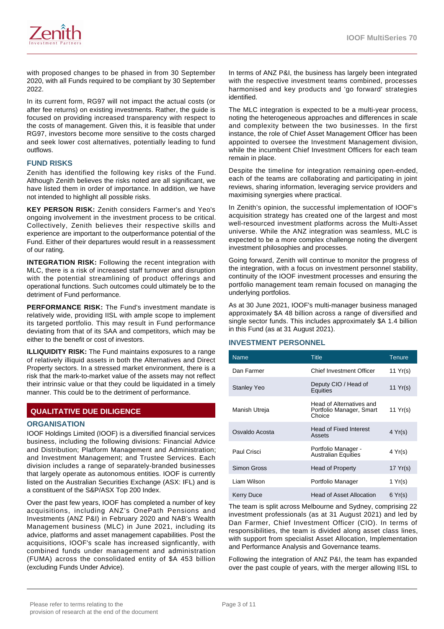

with proposed changes to be phased in from 30 September 2020, with all Funds required to be compliant by 30 September 2022.

In its current form, RG97 will not impact the actual costs (or after fee returns) on existing investments. Rather, the guide is focused on providing increased transparency with respect to the costs of management. Given this, it is feasible that under RG97, investors become more sensitive to the costs charged and seek lower cost alternatives, potentially leading to fund outflows.

### **FUND RISKS**

Zenith has identified the following key risks of the Fund. Although Zenith believes the risks noted are all significant, we have listed them in order of importance. In addition, we have not intended to highlight all possible risks.

**KEY PERSON RISK:** Zenith considers Farmer's and Yeo's ongoing involvement in the investment process to be critical. Collectively, Zenith believes their respective skills and experience are important to the outperformance potential of the Fund. Either of their departures would result in a reassessment of our rating.

**INTEGRATION RISK:** Following the recent integration with MLC, there is a risk of increased staff turnover and disruption with the potential streamlining of product offerings and operational functions. Such outcomes could ultimately be to the detriment of Fund performance.

**PERFORMANCE RISK:** The Fund's investment mandate is relatively wide, providing IISL with ample scope to implement its targeted portfolio. This may result in Fund performance deviating from that of its SAA and competitors, which may be either to the benefit or cost of investors.

**ILLIQUIDITY RISK:** The Fund maintains exposures to a range of relatively illiquid assets in both the Alternatives and Direct Property sectors. In a stressed market environment, there is a risk that the mark-to-market value of the assets may not reflect their intrinsic value or that they could be liquidated in a timely manner. This could be to the detriment of performance.

# **QUALITATIVE DUE DILIGENCE**

#### **ORGANISATION**

IOOF Holdings Limited (IOOF) is a diversified financial services business, including the following divisions: Financial Advice and Distribution; Platform Management and Administration; and Investment Management; and Trustee Services. Each division includes a range of separately-branded businesses that largely operate as autonomous entities. IOOF is currently listed on the Australian Securities Exchange (ASX: IFL) and is a constituent of the S&P/ASX Top 200 Index.

Over the past few years, IOOF has completed a number of key acquisitions, including ANZ's OnePath Pensions and Investments (ANZ P&I) in February 2020 and NAB's Wealth Management business (MLC) in June 2021, including its advice, platforms and asset management capabilities. Post the acquisitions, IOOF's scale has increased signficantly, with combined funds under management and administration (FUMA) across the consolidated entity of \$A 453 billion (excluding Funds Under Advice).

In terms of ANZ P&I, the business has largely been integrated with the respective investment teams combined, processes harmonised and key products and 'go forward' strategies identified.

The MLC integration is expected to be a multi-year process, noting the heterogeneous approaches and differences in scale and complexity between the two businesses. In the first instance, the role of Chief Asset Management Officer has been appointed to oversee the Investment Management division, while the incumbent Chief Investment Officers for each team remain in place.

Despite the timeline for integration remaining open-ended, each of the teams are collaborating and participating in joint reviews, sharing information, leveraging service providers and maximising synergies where practical.

In Zenith's opinion, the successful implementation of IOOF's acquisition strategy has created one of the largest and most well-resourced investment platforms across the Multi-Asset universe. While the ANZ integration was seamless, MLC is expected to be a more complex challenge noting the divergent investment philosophies and processes.

Going forward, Zenith will continue to monitor the progress of the integration, with a focus on investment personnel stability, continuity of the IOOF investment processes and ensuring the portfolio management team remain focused on managing the underlying portfolios.

As at 30 June 2021, IOOF's multi-manager business managed approximately \$A 48 billion across a range of diversified and single sector funds. This includes approximately \$A 1.4 billion in this Fund (as at 31 August 2021).

#### **INVESTMENT PERSONNEL**

| <b>Name</b>        | <b>Title</b>                                                   | <b>Tenure</b>    |
|--------------------|----------------------------------------------------------------|------------------|
| Dan Farmer         | <b>Chief Investment Officer</b>                                | 11 $Yr(s)$       |
| <b>Stanley Yeo</b> | Deputy CIO / Head of<br>Equities                               | 11 $Yr(s)$       |
| Manish Utreja      | Head of Alternatives and<br>Portfolio Manager, Smart<br>Choice | 11 Yr(s)         |
| Osvaldo Acosta     | <b>Head of Fixed Interest</b><br>Assets                        | $4 \text{Yr(s)}$ |
| Paul Crisci        | Portfolio Manager -<br><b>Australian Equities</b>              | 4 Yr(s)          |
| Simon Gross        | Head of Property                                               | 17 $Yr(s)$       |
| I jam Wilson       | Portfolio Manager                                              | 1 $Yr(s)$        |
| Kerry Duce         | <b>Head of Asset Allocation</b>                                | 6 Yr(s)          |

The team is split across Melbourne and Sydney, comprising 22 investment professionals (as at 31 August 2021) and led by Dan Farmer, Chief Investment Officer (CIO). In terms of responsibilities, the team is divided along asset class lines, with support from specialist Asset Allocation, Implementation and Performance Analysis and Governance teams.

Following the integration of ANZ P&I, the team has expanded over the past couple of years, with the merger allowing IISL to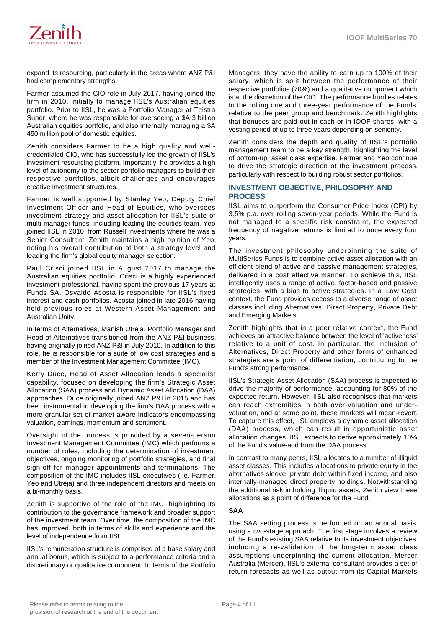

expand its resourcing, particularly in the areas where ANZ P&I had complementary strengths.

Farmer assumed the CIO role in July 2017, having joined the firm in 2010, initially to manage IISL's Australian equities portfolio. Prior to IISL, he was a Portfolio Manager at Telstra Super, where he was responsible for overseeing a \$A 3 billion Australian equities portfolio, and also internally managing a \$A 450 million pool of domestic equities.

Zenith considers Farmer to be a high quality and wellcredentialed CIO, who has successfully led the growth of IISL's investment resourcing platform. Importantly, he provides a high level of autonomy to the sector portfolio managers to build their respective portfolios, albeit challenges and encourages creative investment structures.

Farmer is well supported by Stanley Yeo, Deputy Chief Investment Officer and Head of Equities, who oversees investment strategy and asset allocation for IISL's suite of multi-manager funds, including leading the equities team. Yeo joined IISL in 2010, from Russell Investments where he was a Senior Consultant. Zenith maintains a high opinion of Yeo, noting his overall contribution at both a strategy level and leading the firm's global equity manager selection.

Paul Crisci joined IISL in August 2017 to manage the Australian equities portfolio. Crisci is a highly experienced investment professional, having spent the previous 17 years at Funds SA. Osvaldo Acosta is responsible for IISL's fixed interest and cash portfolios. Acosta joined in late 2016 having held previous roles at Western Asset Management and Australian Unity.

In terms of Alternatives, Manish Utreja, Portfolio Manager and Head of Alternatives transitioned from the ANZ P&I business, having originally joined ANZ P&I in July 2010. In addition to this role, he is responsible for a suite of low cost strategies and a member of the Investment Management Committee (IMC).

Kerry Duce, Head of Asset Allocation leads a specialist capability, focused on developing the firm's Strategic Asset Allocation (SAA) process and Dynamic Asset Allocation (DAA) approaches. Duce originally joined ANZ P&I in 2015 and has been instrumental in developing the firm's DAA process with a more granular set of market aware indicators encompassing valuation, earnings, momentum and sentiment.

Oversight of the process is provided by a seven-person Investment Management Committee (IMC) which performs a number of roles, including the determination of investment objectives, ongoing monitoring of portfolio strategies, and final sign-off for manager appointments and terminations. The composition of the IMC includes IISL executives (i.e. Farmer, Yeo and Utreja) and three independent directors and meets on a bi-monthly basis.

Zenith is supportive of the role of the IMC, highlighting its contribution to the governance framework and broader support of the investment team. Over time, the composition of the IMC has improved, both in terms of skills and experience and the level of independence from IISL.

IISL's remuneration structure is comprised of a base salary and annual bonus, which is subject to a performance criteria and a discretionary or qualitative component. In terms of the Portfolio

Managers, they have the ability to earn up to 100% of their salary, which is split between the performance of their respective portfolios (70%) and a qualitative component which is at the discretion of the CIO. The performance hurdles relates to the rolling one and three-year performance of the Funds, relative to the peer group and benchmark. Zenith highlights that bonuses are paid out in cash or in IOOF shares, with a vesting period of up to three years depending on seniority.

Zenith considers the depth and quality of IISL's portfolio management team to be a key strength, highlighting the level of bottom-up, asset class expertise. Farmer and Yeo continue to drive the strategic direction of the investment process, particularly with respect to building robust sector portfolios.

#### **INVESTMENT OBJECTIVE, PHILOSOPHY AND PROCESS**

IISL aims to outperform the Consumer Price Index (CPI) by 3.5% p.a. over rolling seven-year periods. While the Fund is not managed to a specific risk constraint, the expected frequency of negative returns is limited to once every four years.

The investment philosophy underpinning the suite of MultiSeries Funds is to combine active asset allocation with an efficient blend of active and passive management strategies, delivered in a cost effective manner. To achieve this, IISL intelligently uses a range of active, factor-based and passive strategies, with a bias to active strategies. In a 'Low Cost' context, the Fund provides access to a diverse range of asset classes including Alternatives, Direct Property, Private Debt and Emerging Markets.

Zenith highlights that in a peer relative context, the Fund achieves an attractive balance between the level of 'activeness' relative to a unit of cost. In particular, the inclusion of Alternatives, Direct Property and other forms of enhanced strategies are a point of differentiation, contributing to the Fund's strong performance.

IISL's Strategic Asset Allocation (SAA) process is expected to drive the majority of performance, accounting for 80% of the expected return. However, IISL also recognises that markets can reach extremities in both over-valuation and undervaluation, and at some point, these markets will mean-revert. To capture this effect, IISL employs a dynamic asset allocation (DAA) process, which can result in opportunistic asset allocation changes. IISL expects to derive approximately 10% of the Fund's value-add from the DAA process.

In contrast to many peers, IISL allocates to a number of illiquid asset classes. This includes allocations to private equity in the alternatives sleeve, private debt within fixed income, and also internally-managed direct property holdings. Notwithstanding the additional risk in holding illiquid assets, Zenith view these allocations as a point of difference for the Fund.

#### **SAA**

The SAA setting process is performed on an annual basis, using a two-stage approach. The first stage involves a review of the Fund's existing SAA relative to its investment objectives, including a re-validation of the long-term asset class assumptions underpinning the current allocation. Mercer Australia (Mercer), IISL's external consultant provides a set of return forecasts as well as output from its Capital Markets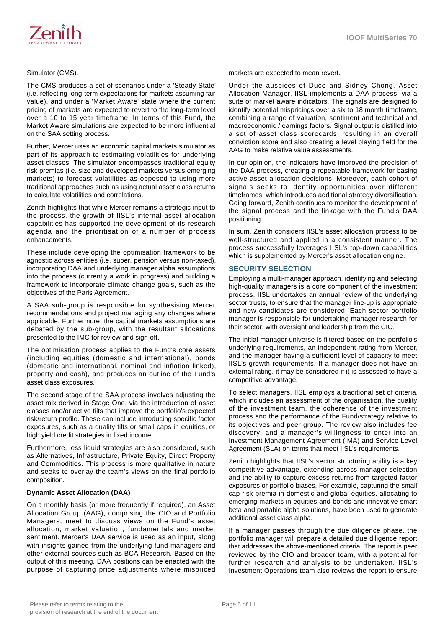

The CMS produces a set of scenarios under a 'Steady State' (i.e. reflecting long-term expectations for markets assuming fair value), and under a 'Market Aware' state where the current pricing of markets are expected to revert to the long-term level over a 10 to 15 year timeframe. In terms of this Fund, the Market Aware simulations are expected to be more influential on the SAA setting process.

Further, Mercer uses an economic capital markets simulator as part of its approach to estimating volatilities for underlying asset classes. The simulator encompasses traditional equity risk premias (i.e. size and developed markets versus emerging markets) to forecast volatilities as opposed to using more traditional approaches such as using actual asset class returns to calculate volatilities and correlations.

Zenith highlights that while Mercer remains a strategic input to the process, the growth of IISL's internal asset allocation capabilities has supported the development of its research agenda and the prioritisation of a number of process enhancements.

These include developing the optimisation framework to be agnostic across entities (i.e. super, pension versus non-taxed), incorporating DAA and underlying manager alpha assumptions into the process (currently a work in progress) and building a framework to incorporate climate change goals, such as the objectives of the Paris Agreement.

A SAA sub-group is responsible for synthesising Mercer recommendations and project managing any changes where applicable. Furthermore, the capital markets assumptions are debated by the sub-group, with the resultant allocations presented to the IMC for review and sign-off.

The optimisation process applies to the Fund's core assets (including equities (domestic and international), bonds (domestic and international, nominal and inflation linked), property and cash), and produces an outline of the Fund's asset class exposures.

The second stage of the SAA process involves adjusting the asset mix derived in Stage One, via the introduction of asset classes and/or active tilts that improve the portfolio's expected risk/return profile. These can include introducing specific factor exposures, such as a quality tilts or small caps in equities, or high yield credit strategies in fixed income.

Furthermore, less liquid strategies are also considered, such as Alternatives, Infrastructure, Private Equity, Direct Property and Commodities. This process is more qualitative in nature and seeks to overlay the team's views on the final portfolio composition.

#### **Dynamic Asset Allocation (DAA)**

On a monthly basis (or more frequently if required), an Asset Allocation Group (AAG), comprising the CIO and Portfolio Managers, meet to discuss views on the Fund's asset allocation, market valuation, fundamentals and market sentiment. Mercer's DAA service is used as an input, along with insights gained from the underlying fund managers and other external sources such as BCA Research. Based on the output of this meeting, DAA positions can be enacted with the purpose of capturing price adjustments where mispriced

markets are expected to mean revert.

Under the auspices of Duce and Sidney Chong, Asset Allocation Manager, IISL implements a DAA process, via a suite of market aware indicators. The signals are designed to identify potential mispricings over a six to 18 month timeframe, combining a range of valuation, sentiment and technical and macroeconomic / earnings factors. Signal output is distilled into a set of asset class scorecards, resulting in an overall conviction score and also creating a level playing field for the AAG to make relative value assessments.

In our opinion, the indicators have improved the precision of the DAA process, creating a repeatable framework for basing active asset allocation decisions. Moreover, each cohort of signals seeks to identify opportunities over different timeframes, which introduces additional strategy diversification. Going forward, Zenith continues to monitor the development of the signal process and the linkage with the Fund's DAA positioning.

In sum, Zenith considers IISL's asset allocation process to be well-structured and applied in a consistent manner. The process successfully leverages IISL's top-down capabilities which is supplemented by Mercer's asset allocation engine.

### **SECURITY SELECTION**

Employing a multi-manager approach, identifying and selecting high-quality managers is a core component of the investment process. IISL undertakes an annual review of the underlying sector trusts, to ensure that the manager line-up is appropriate and new candidates are considered. Each sector portfolio manager is responsible for undertaking manager research for their sector, with oversight and leadership from the CIO.

The initial manager universe is filtered based on the portfolio's underlying requirements, an independent rating from Mercer, and the manager having a sufficient level of capacity to meet IISL's growth requirements. If a manager does not have an external rating, it may be considered if it is assessed to have a competitive advantage.

To select managers, IISL employs a traditional set of criteria, which includes an assessment of the organisation, the quality of the investment team, the coherence of the investment process and the performance of the Fund/strategy relative to its objectives and peer group. The review also includes fee discovery, and a manager's willingness to enter into an Investment Management Agreement (IMA) and Service Level Agreement (SLA) on terms that meet IISL's requirements.

Zenith highlights that IISL's sector structuring ability is a key competitive advantage, extending across manager selection and the ability to capture excess returns from targeted factor exposures or portfolio biases. For example, capturing the small cap risk premia in domestic and global equities, allocating to emerging markets in equities and bonds and innovative smart beta and portable alpha solutions, have been used to generate additional asset class alpha.

If a manager passes through the due diligence phase, the portfolio manager will prepare a detailed due diligence report that addresses the above-mentioned criteria. The report is peer reviewed by the CIO and broader team, with a potential for further research and analysis to be undertaken. IISL's Investment Operations team also reviews the report to ensure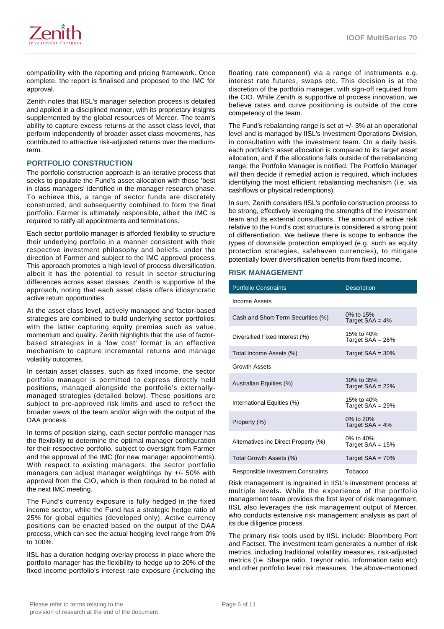

compatibility with the reporting and pricing framework. Once complete, the report is finalised and proposed to the IMC for approval.

Zenith notes that IISL's manager selection process is detailed and applied in a disciplined manner, with its proprietary insights supplemented by the global resources of Mercer. The team's ability to capture excess returns at the asset class level, that perform independently of broader asset class movements, has contributed to attractive risk-adjusted returns over the mediumterm.

#### **PORTFOLIO CONSTRUCTION**

The portfolio construction approach is an iterative process that seeks to populate the Fund's asset allocation with those 'best in class managers' identified in the manager research phase. To achieve this, a range of sector funds are discretely constructed, and subsequently combined to form the final portfolio. Farmer is ultimately responsible, albeit the IMC is required to ratify all appointments and terminations.

Each sector portfolio manager is afforded flexibility to structure their underlying portfolio in a manner consistent with their respective investment philosophy and beliefs, under the direction of Farmer and subject to the IMC approval process. This approach promotes a high level of process diversification, albeit it has the potential to result in sector structuring differences across asset classes. Zenith is supportive of the approach, noting that each asset class offers idiosyncratic active return opportunities.

At the asset class level, actively managed and factor-based strategies are combined to build underlying sector portfolios, with the latter capturing equity premias such as value, momentum and quality. Zenith highlights that the use of factorbased strategies in a 'low cost' format is an effective mechanism to capture incremental returns and manage volatility outcomes.

In certain asset classes, such as fixed income, the sector portfolio manager is permitted to express directly held positions, managed alongside the portfolio's externallymanaged strategies (detailed below). These positions are subject to pre-approved risk limits and used to reflect the broader views of the team and/or align with the output of the DAA process.

In terms of position sizing, each sector portfolio manager has the flexibility to determine the optimal manager configuration for their respective portfolio, subject to oversight from Farmer and the approval of the IMC (for new manager appointments). With respect to existing managers, the sector portfolio managers can adjust manager weightings by +/- 50% with approval from the CIO, which is then required to be noted at the next IMC meeting.

The Fund's currency exposure is fully hedged in the fixed income sector, while the Fund has a strategic hedge ratio of 25% for global equities (developed only). Active currency positions can be enacted based on the output of the DAA process, which can see the actual hedging level range from 0% to 100%.

IISL has a duration hedging overlay process in place where the portfolio manager has the flexibility to hedge up to 20% of the fixed income portfolio's interest rate exposure (including the floating rate component) via a range of instruments e.g. interest rate futures, swaps etc. This decision is at the discretion of the portfolio manager, with sign-off required from the CIO. While Zenith is supportive of process innovation, we believe rates and curve positioning is outside of the core competency of the team.

The Fund's rebalancing range is set at +/- 3% at an operational level and is managed by IISL's Investment Operations Division, in consultation with the investment team. On a daily basis, each portfolio's asset allocation is compared to its target asset allocation, and if the allocations falls outside of the rebalancing range, the Portfolio Manager is notified. The Portfolio Manager will then decide if remedial action is required, which includes identifying the most efficient rebalancing mechanism (i.e. via cashflows or physical redemptions).

In sum, Zenith considers IISL's portfolio construction process to be strong, effectively leveraging the strengths of the investment team and its external consultants. The amount of active risk relative to the Fund's cost structure is considered a strong point of differentiation. We believe there is scope to enhance the types of downside protection employed (e.g. such as equity protection strategies, safehaven currencies), to mitigate potentially lower diversification benefits from fixed income.

#### **RISK MANAGEMENT**

| <b>Portfolio Constraints</b>         | <b>Description</b>               |
|--------------------------------------|----------------------------------|
| Income Assets                        |                                  |
| Cash and Short-Term Securities (%)   | 0% to 15%<br>Target $SAA = 4%$   |
| Diversified Fixed Interest (%)       | 15% to 40%<br>Target $SAA = 26%$ |
| Total Income Assets (%)              | Target $SAA = 30%$               |
| <b>Growth Assets</b>                 |                                  |
| Australian Equities (%)              | 10% to 35%<br>Target $SAA = 22%$ |
| International Equities (%)           | 15% to 40%<br>Target $SAA = 29%$ |
| Property (%)                         | 0% to $20%$<br>Target $SAA = 4%$ |
| Alternatives inc Direct Property (%) | 0% to 40%<br>Target $SAA = 15%$  |
| Total Growth Assets (%)              | Target $SAA = 70%$               |
| Responsible Investment Constraints   | Tobacco                          |

Risk management is ingrained in IISL's investment process at multiple levels. While the experience of the portfolio management team provides the first layer of risk management, IISL also leverages the risk management output of Mercer, who conducts extensive risk management analysis as part of its due diligence process.

The primary risk tools used by IISL include: Bloomberg Port and Factset. The investment team generates a number of risk metrics, including traditional volatility measures, risk-adjusted metrics (i.e. Sharpe ratio, Treynor ratio, Information ratio etc) and other portfolio level risk measures. The above-mentioned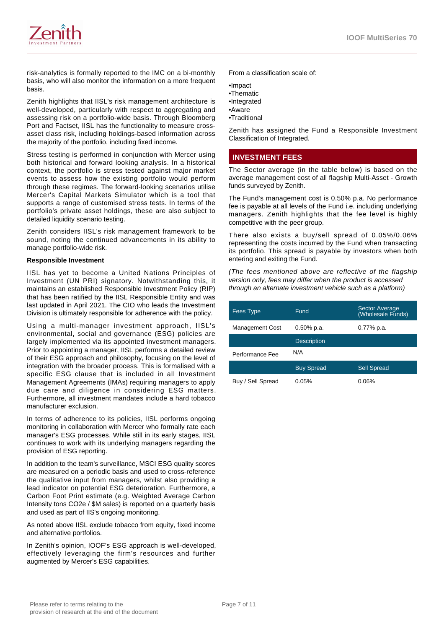

risk-analytics is formally reported to the IMC on a bi-monthly basis, who will also monitor the information on a more frequent basis.

Zenith highlights that IISL's risk management architecture is well-developed, particularly with respect to aggregating and assessing risk on a portfolio-wide basis. Through Bloomberg Port and Factset, IISL has the functionality to measure crossasset class risk, including holdings-based information across the majority of the portfolio, including fixed income.

Stress testing is performed in conjunction with Mercer using both historical and forward looking analysis. In a historical context, the portfolio is stress tested against major market events to assess how the existing portfolio would perform through these regimes. The forward-looking scenarios utilise Mercer's Capital Markets Simulator which is a tool that supports a range of customised stress tests. In terms of the portfolio's private asset holdings, these are also subject to detailed liquidity scenario testing.

Zenith considers IISL's risk management framework to be sound, noting the continued advancements in its ability to manage portfolio-wide risk.

#### **Responsible Investment**

IISL has yet to become a United Nations Principles of Investment (UN PRI) signatory. Notwithstanding this, it maintains an established Responsible Investment Policy (RIP) that has been ratified by the IISL Responsible Entity and was last updated in April 2021. The CIO who leads the Investment Division is ultimately responsible for adherence with the policy.

Using a multi-manager investment approach, IISL's environmental, social and governance (ESG) policies are largely implemented via its appointed investment managers. Prior to appointing a manager, IISL performs a detailed review of their ESG approach and philosophy, focusing on the level of integration with the broader process. This is formalised with a specific ESG clause that is included in all Investment Management Agreements (IMAs) requiring managers to apply due care and diligence in considering ESG matters. Furthermore, all investment mandates include a hard tobacco manufacturer exclusion.

In terms of adherence to its policies, IISL performs ongoing monitoring in collaboration with Mercer who formally rate each manager's ESG processes. While still in its early stages, IISL continues to work with its underlying managers regarding the provision of ESG reporting.

In addition to the team's surveillance, MSCI ESG quality scores are measured on a periodic basis and used to cross-reference the qualitative input from managers, whilst also providing a lead indicator on potential ESG deterioration. Furthermore, a Carbon Foot Print estimate (e.g. Weighted Average Carbon Intensity tons CO2e / \$M sales) is reported on a quarterly basis and used as part of IIS's ongoing monitoring.

As noted above IISL exclude tobacco from equity, fixed income and alternative portfolios.

In Zenith's opinion, IOOF's ESG approach is well-developed, effectively leveraging the firm's resources and further augmented by Mercer's ESG capabilities.

From a classification scale of:

•Impact

- •Thematic
- •Integrated
- •Aware
- •Traditional

Zenith has assigned the Fund a Responsible Investment Classification of Integrated.

# **INVESTMENT FEES**

The Sector average (in the table below) is based on the average management cost of all flagship Multi-Asset - Growth funds surveyed by Zenith.

The Fund's management cost is 0.50% p.a. No performance fee is payable at all levels of the Fund i.e. including underlying managers. Zenith highlights that the fee level is highly competitive with the peer group.

There also exists a buy/sell spread of 0.05%/0.06% representing the costs incurred by the Fund when transacting its portfolio. This spread is payable by investors when both entering and exiting the Fund.

(The fees mentioned above are reflective of the flagship version only, fees may differ when the product is accessed through an alternate investment vehicle such as a platform)

| Fees Type              | Fund               | <b>Sector Average</b><br>(Wholesale Funds) |
|------------------------|--------------------|--------------------------------------------|
| <b>Management Cost</b> | $0.50\%$ p.a.      | $0.77\%$ p.a.                              |
|                        | <b>Description</b> |                                            |
| Performance Fee        | N/A                |                                            |
|                        | <b>Buy Spread</b>  | <b>Sell Spread</b>                         |
| Buy / Sell Spread      | 0.05%              | 0.06%                                      |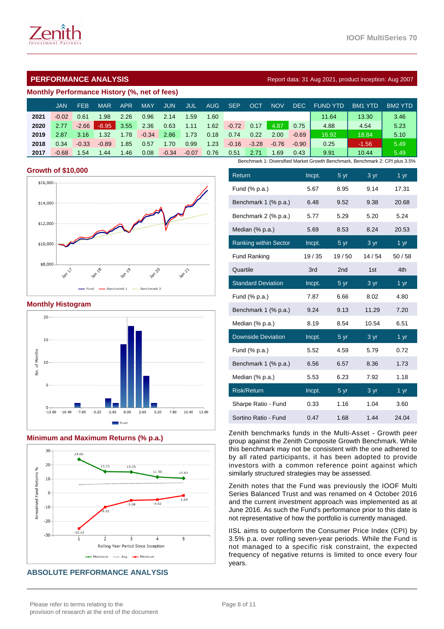

# **PERFORMANCE ANALYSIS Report data: 31 Aug 2021, product inception: Aug 2007**

#### **Monthly Performance History (%, net of fees)**

|      | JAN     | FEB     | <b>MAR</b> | <b>APR</b> | <b>MAY</b> | <b>JUN</b> | <b>JUL</b> | AUG. | <b>SEP</b> | OC1     | NOV     | DEC.    | <b>FUND YTD</b>                                                              | BM <sub>1</sub><br>YTD | BM2 YTD |
|------|---------|---------|------------|------------|------------|------------|------------|------|------------|---------|---------|---------|------------------------------------------------------------------------------|------------------------|---------|
| 2021 | $-0.02$ | 0.61    | 1.98       | 2.26       | 0.96       | 2.14       | 1.59       | 1.60 |            |         |         |         | 11.64                                                                        | 13.30                  | 3.46    |
| 2020 | 2.77    | $-2.66$ | $-8.95$    | 3.55       | 2.36       | 0.63       | 1.11       | 1.62 | $-0.72$    | 0.17    | 4.87    | 0.75    | 4.88                                                                         | 4.54                   | 5.23    |
| 2019 | 2.87    | 3.16    | 1.32       | 1.78       | $-0.34$    | 2.86       | 1.73       | 0.18 | 0.74       | 0.22    | 2.00    | $-0.69$ | 16.92                                                                        | 18.84                  | 5.10    |
| 2018 | 0.34    | $-0.33$ | $-0.89$    | 1.85       | 0.57       | 1.70       | 0.99       | 1.23 | $-0.16$    | $-3.28$ | $-0.76$ | $-0.90$ | 0.25                                                                         | $-1.56$                | 5.49    |
| 2017 | $-0.68$ | .54     | 1.44       | 1.46       | 0.08       | $-0.34$    | $-0.07$    | 0.76 | 0.51       | 2.71    | 1.69    | 0.43    | 9.91                                                                         | 10.44                  | 5.49    |
|      |         |         |            |            |            |            |            |      |            |         |         |         | Benchmark 1: Diversified Market Growth Benchmark, Benchmark 2: CPI plus 3.5% |                        |         |

#### **Growth of \$10,000**



#### **Monthly Histogram**



#### **Minimum and Maximum Returns (% p.a.)**



# **ABSOLUTE PERFORMANCE ANALYSIS**

| Return                       | Incpt. | 5 yr            | 3 yr          | $1 \text{ yr}$    |
|------------------------------|--------|-----------------|---------------|-------------------|
| Fund (% p.a.)                | 5.67   | 8.95            | 9.14          | 17.31             |
| Benchmark 1 (% p.a.)         | 6.48   | 9.52            | 9.38          | 20.68             |
| Benchmark 2 (% p.a.)         | 5.77   | 5.29            | 5.20          | 5.24              |
| Median (% p.a.)              | 5.69   | 8.53            | 8.24          | 20.53             |
| <b>Ranking within Sector</b> | Incpt. | 5 yr            | 3 yr          | 1 yr              |
| <b>Fund Ranking</b>          | 19/35  | 19/50           | 14/54         | 50/58             |
| Quartile                     | 3rd    | 2 <sub>nd</sub> | 1st           | 4th               |
| <b>Standard Deviation</b>    | Incpt. | 5 yr            | $\frac{3}{y}$ | $1 \overline{yr}$ |
| Fund (% p.a.)                | 7.87   | 6.66            | 8.02          | 4.80              |
| Benchmark 1 (% p.a.)         | 9.24   | 9.13            | 11.29         | 7.20              |
| Median (% p.a.)              | 8.19   | 8.54            | 10.54         | 6.51              |
| <b>Downside Deviation</b>    | Incpt. | 5 yr            | 3 yr          | $1 \,\mathrm{yr}$ |
| Fund (% p.a.)                | 5.52   | 4.59            | 5.79          | 0.72              |
| Benchmark 1 (% p.a.)         | 6.56   | 6.57            | 8.36          | 1.73              |
| Median (% p.a.)              | 5.53   | 6.23            | 7.92          | 1.18              |
| <b>Risk/Return</b>           | Incpt. | 5 yr            | 3 yr          | $1 \,\mathrm{yr}$ |
| Sharpe Ratio - Fund          | 0.33   | 1.16            | 1.04          | 3.60              |
| Sortino Ratio - Fund         | 0.47   | 1.68            | 1.44          | 24.04             |

Zenith benchmarks funds in the Multi-Asset - Growth peer group against the Zenith Composite Growth Benchmark. While this benchmark may not be consistent with the one adhered to by all rated participants, it has been adopted to provide investors with a common reference point against which similarly structured strategies may be assessed.

Zenith notes that the Fund was previously the IOOF Multi Series Balanced Trust and was renamed on 4 October 2016 and the current investment approach was implemented as at June 2016. As such the Fund's performance prior to this date is not representative of how the portfolio is currently managed.

IISL aims to outperform the Consumer Price Index (CPI) by 3.5% p.a. over rolling seven-year periods. While the Fund is not managed to a specific risk constraint, the expected frequency of negative returns is limited to once every four years.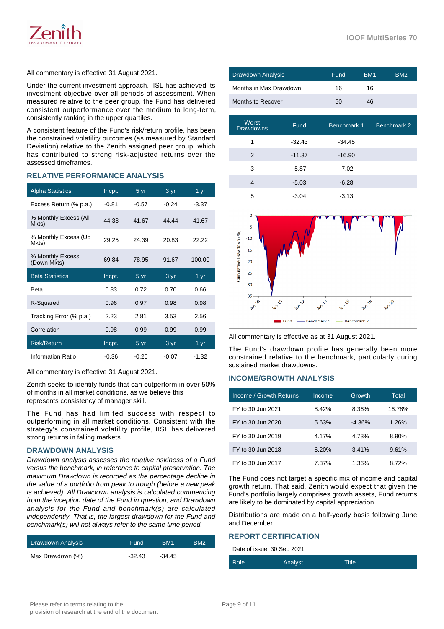

Under the current investment approach, IISL has achieved its investment objective over all periods of assessment. When measured relative to the peer group, the Fund has delivered consistent outperformance over the medium to long-term, consistently ranking in the upper quartiles.

A consistent feature of the Fund's risk/return profile, has been the constrained volatility outcomes (as measured by Standard Deviation) relative to the Zenith assigned peer group, which has contributed to strong risk-adjusted returns over the assessed timeframes.

# **RELATIVE PERFORMANCE ANALYSIS**

| <b>Alpha Statistics</b>         | Incpt.  | 5 <sub>yr</sub> | 3 yr    | 1 yr              |
|---------------------------------|---------|-----------------|---------|-------------------|
| Excess Return (% p.a.)          | $-0.81$ | $-0.57$         | $-0.24$ | $-3.37$           |
| % Monthly Excess (All<br>Mkts)  | 44.38   | 41.67           | 44.44   | 41.67             |
| % Monthly Excess (Up<br>Mkts)   | 29.25   | 24.39           | 20.83   | 22.22             |
| % Monthly Excess<br>(Down Mkts) | 69.84   | 78.95           | 91.67   | 100.00            |
|                                 |         |                 |         |                   |
| <b>Beta Statistics</b>          | Incpt.  | 5 yr            | 3 yr    | 1 $\overline{yr}$ |
| <b>Beta</b>                     | 0.83    | 0.72            | 0.70    | 0.66              |
| R-Squared                       | 0.96    | 0.97            | 0.98    | 0.98              |
| Tracking Error (% p.a.)         | 2.23    | 2.81            | 3.53    | 2.56              |
| Correlation                     | 0.98    | 0.99            | 0.99    | 0.99              |
| <b>Risk/Return</b>              | Incpt.  | 5 yr            | 3 yr    | 1 yr              |

All commentary is effective 31 August 2021.

Zenith seeks to identify funds that can outperform in over 50% of months in all market conditions, as we believe this represents consistency of manager skill.

The Fund has had limited success with respect to outperforming in all market conditions. Consistent with the strategy's constrained volatility profile, IISL has delivered strong returns in falling markets.

#### **DRAWDOWN ANALYSIS**

Drawdown analysis assesses the relative riskiness of a Fund versus the benchmark, in reference to capital preservation. The maximum Drawdown is recorded as the percentage decline in the value of a portfolio from peak to trough (before a new peak is achieved). All Drawdown analysis is calculated commencing from the inception date of the Fund in question, and Drawdown analysis for the Fund and benchmark(s) are calculated independently. That is, the largest drawdown for the Fund and benchmark(s) will not always refer to the same time period.

| Drawdown Analysis | <b>Fund</b> | BM <sub>1</sub> | BM <sub>2</sub> |
|-------------------|-------------|-----------------|-----------------|
| Max Drawdown (%)  | $-32.43$    | -34.45          |                 |

| Drawdown Analysis      | Fund         | BM <sub>1</sub> | BM <sub>2</sub> |
|------------------------|--------------|-----------------|-----------------|
| Months in Max Drawdown | 16           | 16              |                 |
| Months to Recover      | $50^{\circ}$ | 46              |                 |

| Worst<br><b>Drawdowns</b> | <b>Fund</b> | Benchmark 1 | Benchmark 2 |
|---------------------------|-------------|-------------|-------------|
| 1                         | $-32.43$    | $-34.45$    |             |
| $\mathcal{P}$             | $-11.37$    | $-16.90$    |             |
| 3                         | $-5.87$     | $-7.02$     |             |
| 4                         | $-5.03$     | $-6.28$     |             |
| 5                         | $-3.04$     | -3.13       |             |



All commentary is effective as at 31 August 2021.

The Fund's drawdown profile has generally been more constrained relative to the benchmark, particularly during sustained market drawdowns.

#### **INCOME/GROWTH ANALYSIS**

| Income / Growth Returns | Income | Growth   | Total  |
|-------------------------|--------|----------|--------|
| FY to 30 Jun 2021       | 8.42%  | 8.36%    | 16.78% |
| FY to 30 Jun 2020       | 5.63%  | $-4.36%$ | 1.26%  |
| FY to 30 Jun 2019       | 4.17%  | 4.73%    | 8.90%  |
| FY to 30 Jun 2018       | 6.20%  | 3.41%    | 9.61%  |
| FY to 30 Jun 2017       | 7.37%  | 1.36%    | 8.72%  |

The Fund does not target a specific mix of income and capital growth return. That said, Zenith would expect that given the Fund's portfolio largely comprises growth assets, Fund returns are likely to be dominated by capital appreciation.

Distributions are made on a half-yearly basis following June and December.

#### **REPORT CERTIFICATION**

Date of issue: 30 Sep 2021

| Role | Analyst | Title |
|------|---------|-------|
|      |         |       |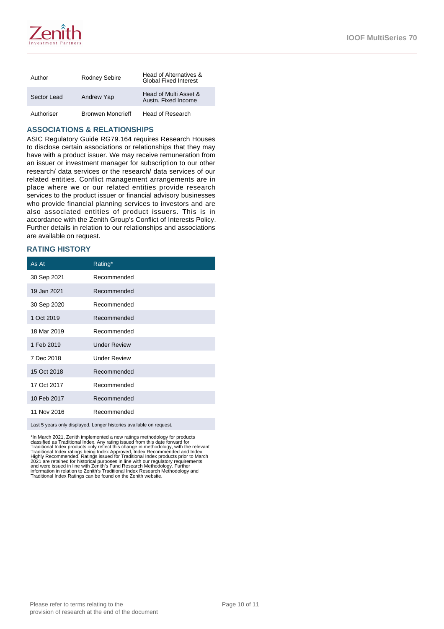

| Author      | <b>Rodney Sebire</b>     | Head of Alternatives &<br><b>Global Fixed Interest</b> |
|-------------|--------------------------|--------------------------------------------------------|
| Sector Lead | Andrew Yap               | Head of Multi Asset &<br>Austn. Fixed Income           |
| Authoriser  | <b>Bronwen Moncrieff</b> | Head of Research                                       |

#### **ASSOCIATIONS & RELATIONSHIPS**

ASIC Regulatory Guide RG79.164 requires Research Houses to disclose certain associations or relationships that they may have with a product issuer. We may receive remuneration from an issuer or investment manager for subscription to our other research/ data services or the research/ data services of our related entities. Conflict management arrangements are in place where we or our related entities provide research services to the product issuer or financial advisory businesses who provide financial planning services to investors and are also associated entities of product issuers. This is in accordance with the Zenith Group's Conflict of Interests Policy. Further details in relation to our relationships and associations are available on request.

### **RATING HISTORY**

| As At                                                                                                | Rating*             |  |
|------------------------------------------------------------------------------------------------------|---------------------|--|
| 30 Sep 2021                                                                                          | Recommended         |  |
| 19 Jan 2021                                                                                          | Recommended         |  |
| 30 Sep 2020                                                                                          | Recommended         |  |
| 1 Oct 2019                                                                                           | Recommended         |  |
| 18 Mar 2019                                                                                          | Recommended         |  |
| 1 Feb 2019                                                                                           | <b>Under Review</b> |  |
| 7 Dec 2018                                                                                           | <b>Under Review</b> |  |
| 15 Oct 2018                                                                                          | Recommended         |  |
| 17 Oct 2017                                                                                          | Recommended         |  |
| 10 Feb 2017                                                                                          | Recommended         |  |
| 11 Nov 2016                                                                                          | Recommended         |  |
| فمحتبط ويحاجب والماضا والمربوب ومجاهلها ومجوود والمتحاوية والمحاوية والجروان والمحارب الرفوع الموارد |                     |  |

ast 5 years only displayed. Longer histories available on request.

\*In March 2021, Zenith implemented a new ratings methodology for products<br>classified as Traditional Index. Any rating issued from this date forward for<br>Traditional Index products only reflect this change in methodology, wi information in relation to Zenith's Traditional Index Research Methodology and Traditional Index Ratings can be found on the Zenith website.